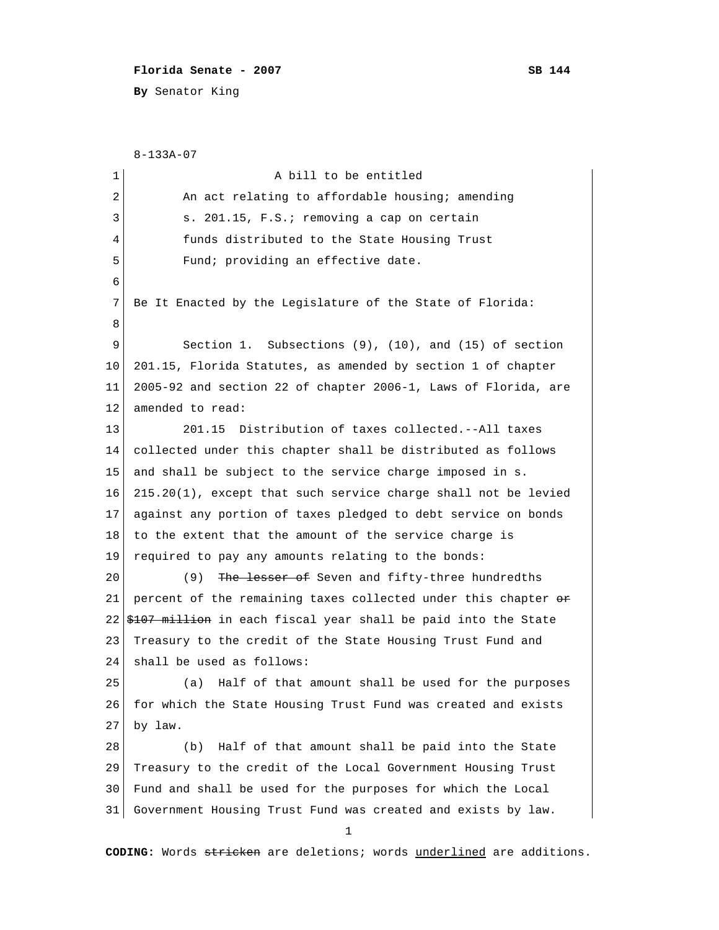## **Florida Senate - 2007** SB 144

**By** Senator King

```
 8-133A-07
 1 a bill to be entitled
 2 An act relating to affordable housing; amending
 3 s. 201.15, F.S.; removing a cap on certain
 4 funds distributed to the State Housing Trust
 5 Fund; providing an effective date.
  6 
  7 Be It Enacted by the Legislature of the State of Florida:
 8 
9 Section 1. Subsections (9), (10), and (15) of section
10 201.15, Florida Statutes, as amended by section 1 of chapter
11 2005-92 and section 22 of chapter 2006-1, Laws of Florida, are
12 amended to read:
13 201.15 Distribution of taxes collected.--All taxes
14 collected under this chapter shall be distributed as follows
15 and shall be subject to the service charge imposed in s.
16 215.20(1), except that such service charge shall not be levied
17 against any portion of taxes pledged to debt service on bonds
18 to the extent that the amount of the service charge is
19 required to pay any amounts relating to the bonds:
20 (9) The lesser of Seven and fifty-three hundredths
21 percent of the remaining taxes collected under this chapter \theta22 \frac{+107}{+111} \frac{+111}{+111} \frac{+111}{+111} \frac{+111}{+111} \frac{+111}{-111} \frac{+111}{-111} \frac{+111}{-111}23 Treasury to the credit of the State Housing Trust Fund and
24 shall be used as follows:
25 (a) Half of that amount shall be used for the purposes
26 for which the State Housing Trust Fund was created and exists
27 by law.
28 (b) Half of that amount shall be paid into the State
29 Treasury to the credit of the Local Government Housing Trust
30 Fund and shall be used for the purposes for which the Local
31 Government Housing Trust Fund was created and exists by law.
 1
```
**CODING:** Words stricken are deletions; words underlined are additions.